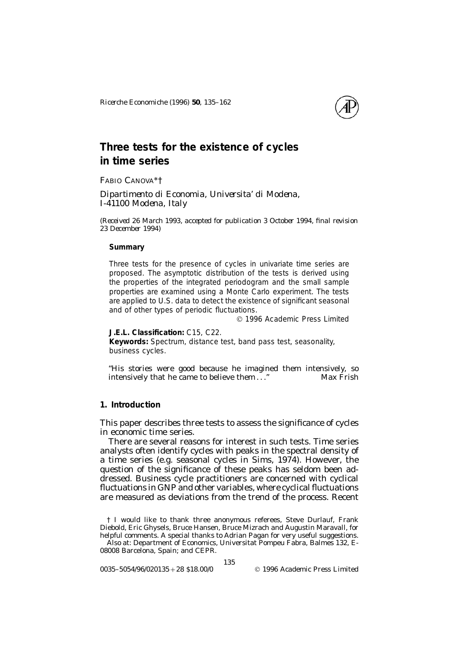*Ricerche Economiche* (1996) **50**, 135–162



# **Three tests for the existence of cycles in time series**

FABIO CANOVA∗†

*Dipartimento di Economia, Universita' di Modena, I-41100 Modena, Italy*

*(Received 26 March 1993, accepted for publication 3 October 1994, final revision 23 December 1994)*

#### **Summary**

Three tests for the presence of cycles in univariate time series are proposed. The asymptotic distribution of the tests is derived using the properties of the integrated periodogram and the small sample properties are examined using a Monte Carlo experiment. The tests are applied to U.S. data to detect the existence of significant seasonal and of other types of periodic fluctuations.

1996 Academic Press Limited

**J.E.L. Classification:** C15, C22.

**Keywords:** Spectrum, distance test, band pass test, seasonality, business cycles.

"His stories were good because he imagined them intensively, so intensively that he came to believe them ..." Max Frish

## **1. Introduction**

This paper describes three tests to assess the significance of cycles in economic time series.

There are several reasons for interest in such tests. Time series analysts often identify cycles with peaks in the spectral density of a time series (e.g. seasonal cycles in Sims, 1974). However, the question of the significance of these peaks has seldom been addressed. Business cycle practitioners are concerned with cyclical fluctuations in GNP and other variables, where cyclical fluctuations are measured as deviations from the trend of the process. Recent

† I would like to thank three anonymous referees, Steve Durlauf, Frank Diebold, Eric Ghysels, Bruce Hansen, Bruce Mizrach and Augustin Maravall, for helpful comments. A special thanks to Adrian Pagan for very useful suggestions. Also at: Department of Economics, Universitat Pompeu Fabra, Balmes 132, E-08008 Barcelona, Spain; and CEPR.

135

0035–5054/96/020135+28 \$18.00/0 1996 Academic Press Limited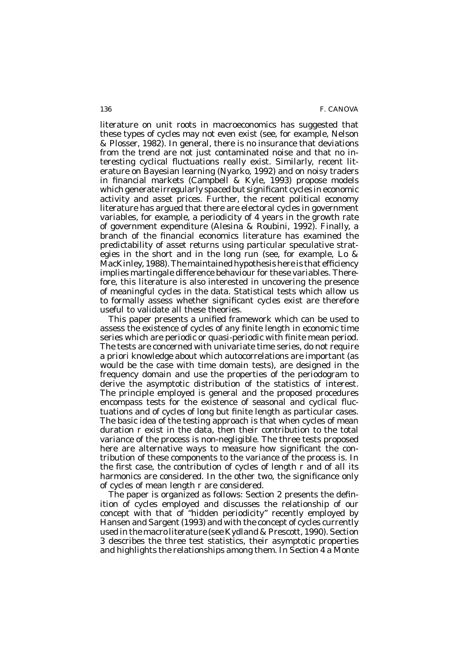literature on unit roots in macroeconomics has suggested that these types of cycles may not even exist (see, for example, Nelson & Plosser, 1982). In general, there is no insurance that deviations from the trend are not just contaminated noise and that no interesting cyclical fluctuations really exist. Similarly, recent literature on Bayesian learning (Nyarko, 1992) and on noisy traders in financial markets (Campbell & Kyle, 1993) propose models which generate irregularly spaced but significant cycles in economic activity and asset prices. Further, the recent political economy literature has argued that there are electoral cycles in government variables, for example, a periodicity of 4 years in the growth rate of government expenditure (Alesina & Roubini, 1992). Finally, a branch of the financial economics literature has examined the predictability of asset returns using particular speculative strategies in the short and in the long run (see, for example, Lo & MacKinley, 1988). The maintained hypothesis here is that efficiency implies martingale difference behaviour for these variables. Therefore, this literature is also interested in uncovering the presence of meaningful cycles in the data. Statistical tests which allow us to formally assess whether significant cycles exist are therefore useful to validate all these theories.

This paper presents a unified framework which can be used to assess the existence of cycles of any finite length in economic time series which are periodic or quasi-periodic with finite mean period. The tests are concerned with univariate time series, do not require *a priori* knowledge about which autocorrelations are important (as would be the case with time domain tests), are designed in the frequency domain and use the properties of the periodogram to derive the asymptotic distribution of the statistics of interest. The principle employed is general and the proposed procedures encompass tests for the existence of seasonal and cyclical fluctuations and of cycles of long but finite length as particular cases. The basic idea of the testing approach is that when cycles of mean duration *r* exist in the data, then their contribution to the total variance of the process is non-negligible. The three tests proposed here are alternative ways to measure how significant the contribution of these components to the variance of the process is. In the first case, the contribution of cycles of length *r* and of *all* its harmonics are considered. In the other two, the significance only of cycles of mean length *r* are considered.

The paper is organized as follows: Section 2 presents the definition of cycles employed and discusses the relationship of our concept with that of "hidden periodicity" recently employed by Hansen and Sargent (1993) and with the concept of cycles currently used in the macro literature (see Kydland & Prescott, 1990). Section 3 describes the three test statistics, their asymptotic properties and highlights the relationships among them. In Section 4 a Monte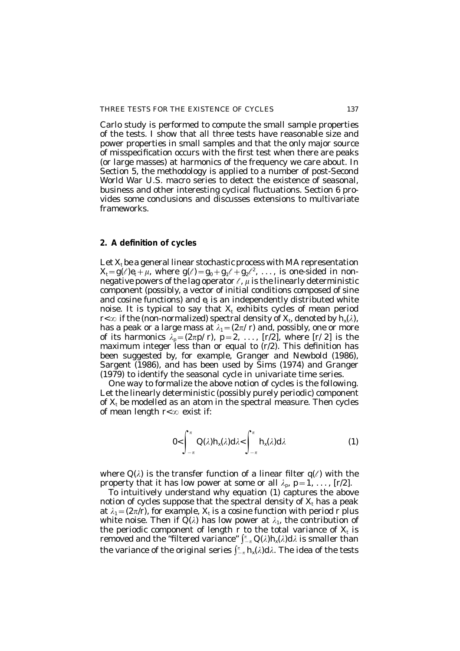Carlo study is performed to compute the small sample properties of the tests. I show that all three tests have reasonable size and power properties in small samples and that the only major source of misspecification occurs with the first test when there are peaks (or large masses) at harmonics of the frequency we care about. In Section 5, the methodology is applied to a number of post-Second World War U.S. macro series to detect the existence of seasonal, business and other interesting cyclical fluctuations. Section 6 provides some conclusions and discusses extensions to multivariate frameworks.

# **2. A definition of cycles**

Let  $X_t$  be a general linear stochastic process with MA representation  $X_t = g(\ell) e_t + \mu$ , where  $g(\ell) = g_0 + g_1 \ell + g_2 \ell^2$ , ..., is one-sided in nonnegative powers of the lag operator  $\ell$ ,  $\mu$  is the linearly deterministic component (possibly, a vector of initial conditions composed of sine and cosine functions) and  $e_t$  is an independently distributed white noise. It is typical to say that  $X_t$  exhibits cycles of mean period *r*<∞ if the (non-normalized) spectral density of  $X_t$ , denoted by  $h_x(\lambda)$ , has a peak or a large mass at  $\lambda_1=(2\pi/r)$  and, possibly, one or more of its harmonics  $\lambda_p = (2\pi p/r)$ ,  $p=2, \ldots$ ,  $[r/2]$ , where  $[r/2]$  is the maximum integer less than or equal to (*r*/2). This definition has been suggested by, for example, Granger and Newbold (1986), Sargent (1986), and has been used by Sims (1974) and Granger (1979) to identify the seasonal cycle in univariate time series.

One way to formalize the above notion of cycles is the following. Let the linearly deterministic (possibly purely periodic) component of  $X_t$  be modelled as an atom in the spectral measure. Then cycles of mean length  $r \lt \infty$  exist if:

$$
0 < \int_{-\pi}^{\pi} Q(\lambda) h_x(\lambda) d\lambda < \int_{-\pi}^{\pi} h_x(\lambda) d\lambda \qquad (1)
$$

where  $Q(\lambda)$  is the transfer function of a linear filter  $q(\ell)$  with the property that it has low power at some or all  $\lambda_p$ ,  $p=1, \ldots, [r/2]$ .

To intuitively understand why equation (1) captures the above notion of cycles suppose that the spectral density of  $X_t$  has a peak at  $\lambda_1 = (2\pi/r)$ , for example,  $X_t$  is a cosine function with period *r* plus white noise. Then if  $Q(\lambda)$  has low power at  $\lambda_1$ , the contribution of the periodic component of length  $r$  to the total variance of  $X_t$  is removed and the "filtered variance"  $\int_{-\pi}^{\pi} Q(\lambda) h_{\mathrm{x}}(\lambda) d\lambda$  is smaller than the variance of the original series  $\int_{-\pi}^{\pi} h_{\mathsf{x}}(\lambda) d\lambda$ . The idea of the tests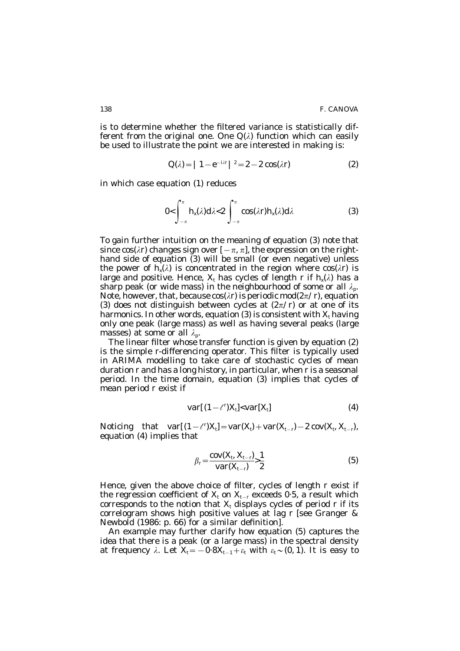is to determine whether the filtered variance is statistically different from the original one. One  $Q(\lambda)$  function which can easily be used to illustrate the point we are interested in making is:

$$
Q(\lambda) = |1 - e^{-i\lambda r}|^2 = 2 - 2\cos(\lambda r) \tag{2}
$$

in which case equation (1) reduces

$$
0 < \int_{-\pi}^{\pi} h_x(\lambda) d\lambda < 2 \int_{-\pi}^{\pi} \cos(\lambda r) h_x(\lambda) d\lambda \tag{3}
$$

To gain further intuition on the meaning of equation (3) note that since cos( $\lambda r$ ) changes sign over  $[-\pi, \pi]$ , the expression on the righthand side of equation (3) will be small (or even negative) unless the power of  $h_x(\lambda)$  is concentrated in the region where  $cos(\lambda r)$  is large and positive. Hence,  $X_t$  has cycles of length r if  $h_x(\lambda)$  has a sharp peak (or wide mass) in the neighbourhood of some or all  $\lambda_p$ . Note, however, that, because  $cos(\lambda r)$  is periodic mod $(2\pi/r)$ , equation (3) does not distinguish between cycles at  $(2\pi/r)$  or at one of its harmonics. In other words, equation  $(3)$  is consistent with  $X_t$  having only one peak (large mass) as well as having several peaks (large masses) at some or all  $\lambda_p$ .

The linear filter whose transfer function is given by equation (2) is the simple *r*-differencing operator. This filter is typically used in ARIMA modelling to take care of stochastic cycles of mean duration *r* and has a long history, in particular, when *r* is a seasonal period. In the time domain, equation (3) implies that cycles of mean period *r* exist if

$$
\text{var}[(1-\ell')X_t] < \text{var}[X_t] \tag{4}
$$

Noticing that var $[(1-\ell')X_t] = \text{var}(X_t) + \text{var}(X_{t-r}) - 2\text{ cov}(X_t, X_{t-r}),$ equation (4) implies that

$$
\beta_r = \frac{\text{cov}(X_t, X_{t-r})}{\text{var}(X_{t-r})} > \frac{1}{2} \tag{5}
$$

Hence, given the above choice of filter, cycles of length *r* exist if the regression coefficient of  $X_t$  on  $X_{t-r}$  exceeds 0.5, a result which corresponds to the notion that  $X_t$  displays cycles of period  $r$  if its correlogram shows high positive values at lag *r* [see Granger & Newbold (1986: p. 66) for a similar definition].

An example may further clarify how equation (5) captures the idea that there is a peak (or a large mass) in the spectral density at frequency  $\lambda$ . Let  $X_t = -0.8X_{t-1} + \varepsilon_t$  with  $\varepsilon_t \sim (0, 1)$ . It is easy to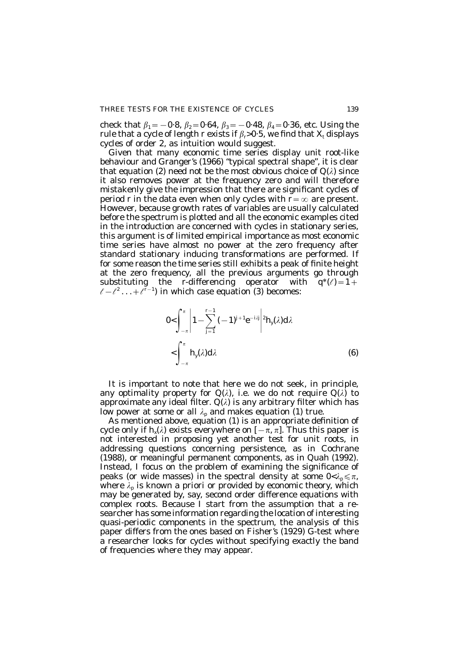check that  $\beta_1 = -0.8$ ,  $\beta_2 = 0.64$ ,  $\beta_3 = -0.48$ ,  $\beta_4 = 0.36$ , etc. Using the rule that a cycle of length *r* exists if  $\beta_r > 0.5$ , we find that  $X_t$  displays cycles of order 2, as intuition would suggest.

Given that many economic time series display unit root-like behaviour and Granger's (1966) "typical spectral shape", it is clear that equation (2) need not be the most obvious choice of  $Q(\lambda)$  since it also removes power at the frequency zero and will therefore mistakenly give the impression that there are significant cycles of period *r* in the data even when only cycles with  $r = ∞$  are present. However, because growth rates of variables are usually calculated before the spectrum is plotted and all the economic examples cited in the introduction are concerned with cycles in stationary series, this argument is of limited empirical importance as most economic time series have almost no power at the zero frequency after standard stationary inducing transformations are performed. If for some reason the time series still exhibits a peak of finite height at the zero frequency, all the previous arguments go through substituting the *r*-differencing operator with  $q^*(\ell)=1+$  $l-\ell^2 \ldots + \ell^{r-1}$  in which case equation (3) becomes:

$$
0 < \int_{-\pi}^{\pi} \left| 1 - \sum_{j=1}^{r-1} (-1)^{j+1} e^{-i\lambda j} \right|^2 h_y(\lambda) d\lambda
$$
  

$$
< \int_{-\pi}^{\pi} h_y(\lambda) d\lambda
$$
 (6)

It is important to note that here we do not seek, in principle, any optimality property for  $Q(\lambda)$ , i.e. we do not require  $Q(\lambda)$  to approximate any ideal filter.  $Q(\lambda)$  is any arbitrary filter which has low power at some or all  $\lambda_p$  and makes equation (1) true.

As mentioned above, equation (1) is an appropriate definition of cycle only if  $h_x(\lambda)$  exists everywhere on  $[-\pi, \pi]$ . Thus this paper is not interested in proposing yet another test for unit roots, in addressing questions concerning persistence, as in Cochrane (1988), or meaningful permanent components, as in Quah (1992). Instead, I focus on the problem of examining the significance of peaks (or wide masses) in the spectral density at some  $0 < \lambda_p \le \pi$ , where  $\lambda_p$  is known *a priori* or provided by economic theory, which may be generated by, say, second order difference equations with complex roots. Because I start from the assumption that a researcher has some information regarding the location of interesting quasi-periodic components in the spectrum, the analysis of this paper differs from the ones based on Fisher's (1929) *G*-test where a researcher looks for cycles without specifying exactly the band of frequencies where they may appear.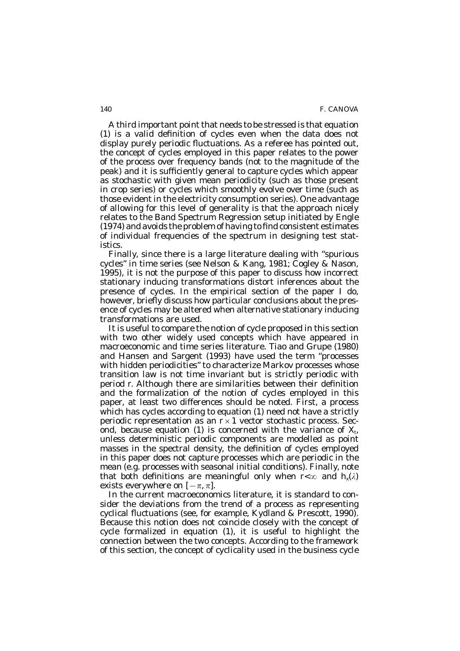A third important point that needs to be stressed is that equation (1) is a valid definition of cycles even when the data does not display purely periodic fluctuations. As a referee has pointed out, the concept of cycles employed in this paper relates to the power of the process over frequency bands (not to the magnitude of the peak) and it is sufficiently general to capture cycles which appear as stochastic with given mean periodicity (such as those present in crop series) or cycles which smoothly evolve over time (such as those evident in the electricity consumption series). One advantage of allowing for this level of generality is that the approach nicely relates to the Band Spectrum Regression setup initiated by Engle (1974) and avoids the problem of having to find consistent estimates of individual frequencies of the spectrum in designing test statistics.

Finally, since there is a large literature dealing with "spurious cycles" in time series (see Nelson & Kang, 1981; Cogley & Nason, 1995), it is not the purpose of this paper to discuss how incorrect stationary inducing transformations distort inferences about the presence of cycles. In the empirical section of the paper I do, however, briefly discuss how particular conclusions about the presence of cycles may be altered when alternative stationary inducing transformations are used.

It is useful to compare the notion of cycle proposed in this section with two other widely used concepts which have appeared in macroeconomic and time series literature. Tiao and Grupe (1980) and Hansen and Sargent (1993) have used the term "processes with hidden periodicities" to characterize Markov processes whose transition law is not time invariant but is strictly periodic with period *r*. Although there are similarities between their definition and the formalization of the notion of cycles employed in this paper, at least two differences should be noted. First, a process which has cycles according to equation (1) need not have a strictly periodic representation as an  $r \times 1$  vector stochastic process. Second, because equation (1) is concerned with the variance of  $X<sub>b</sub>$ unless deterministic periodic components are modelled as point masses in the spectral density, the definition of cycles employed in this paper does not capture processes which are periodic in the mean (e.g. processes with seasonal initial conditions). Finally, note that both definitions are meaningful only when  $r \lt \infty$  and  $h_x(\lambda)$ exists everywhere on  $[-\pi, \pi]$ .

In the current macroeconomics literature, it is standard to consider the deviations from the trend of a process as representing cyclical fluctuations (see, for example, Kydland & Prescott, 1990). Because this notion does not coincide closely with the concept of cycle formalized in equation (1), it is useful to highlight the connection between the two concepts. According to the framework of this section, the concept of cyclicality used in the business cycle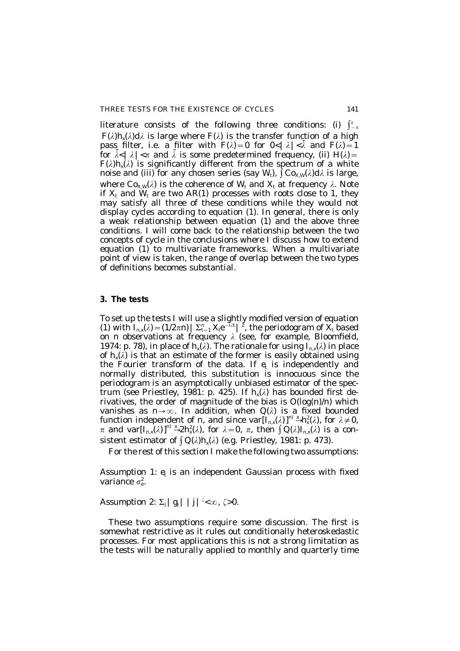literature consists of the following three conditions: (i)  $\int_{-\pi}^{\pi}$  $F(\lambda)h_{\lambda}(\lambda) d\lambda$  is large where  $F(\lambda)$  is the transfer function of a high pass filter, i.e. a filter with  $F(\lambda)=0$  for  $0<|\lambda|<\lambda$  and  $F(\lambda)=1$ for  $\lambda < |\lambda| < \pi$  and  $\lambda$  is some predetermined frequency, (ii)  $H(\lambda) =$  $F(\lambda)h_{\lambda}(\lambda)$  is significantly different from the spectrum of a white noise and (iii) for any chosen series (say *W*<sub>*i*</sub>),  $\int Co_{X,W}(\lambda) d\lambda$  is large, where  $Co_{XW}(\lambda)$  is the coherence of  $W_t$  and  $X_t$  at frequency  $\lambda$ . Note if  $X_t$  and  $W_t$  are two AR(1) processes with roots close to 1, they may satisfy all three of these conditions while they would not display cycles according to equation (1). In general, there is only a weak relationship between equation (1) and the above three conditions. I will come back to the relationship between the two concepts of cycle in the conclusions where I discuss how to extend equation (1) to multivariate frameworks. When a multivariate point of view is taken, the range of overlap between the two types of definitions becomes substantial.

#### **3. The tests**

To set up the tests I will use a slightly modified version of equation (1) with  $I_{n,x}(\lambda) = (1/2\pi n) |\sum_{t=1}^n X_t e^{-\lambda t}|^2$ , the periodogram of  $\overline{X}_t$  based on *n* observations at frequency  $\lambda$  (see, for example, Bloomfield, 1974: p. 78), in place of  $h_x(\lambda)$ . The rationale for using  $I_{nx}(\lambda)$  in place of  $h_x(\lambda)$  is that an estimate of the former is easily obtained using the Fourier transform of the data. If  $e_t$  is independently and normally distributed, this substitution is innocuous since the periodogram is an asymptotically unbiased estimator of the spectrum (see Priestley, 1981: p. 425). If  $h_x(\lambda)$  has bounded first derivatives, the order of magnitude of the bias is *O*(log(*n*)/*n*) which vanishes as  $n\rightarrow\infty$ . In addition, when  $Q(\lambda)$  is a fixed bounded function independent of *n*, and since  $var[I_{n,x}(\lambda)]^{n} \rightarrow h_x^2(\lambda)$ , for  $\lambda \neq 0$ ,  $\pi$  and var $[I_{n,x}(\lambda)]^{n} \stackrel{\infty}{\rightarrow} 2h_x^2(\lambda)$ , for  $\lambda = 0$ ,  $\pi$ , then  $\int Q(\lambda)I_{n,x}(\lambda)$  is a consistent estimator of  $\int Q(\lambda)h_{x}(\lambda)$  (e.g. Priestley, 1981: p. 473).

For the rest of this section I make the following two assumptions:

*Assumption 1:*  $e_t$  is an independent Gaussian process with fixed variance  $\sigma_e^2$ .

# *Assumption 2:*  $\Sigma_j |g_j| |j| \leq \infty$ ,  $\zeta > 0$ .

These two assumptions require some discussion. The first is somewhat restrictive as it rules out conditionally heteroskedastic processes. For most applications this is not a strong limitation as the tests will be naturally applied to monthly and quarterly time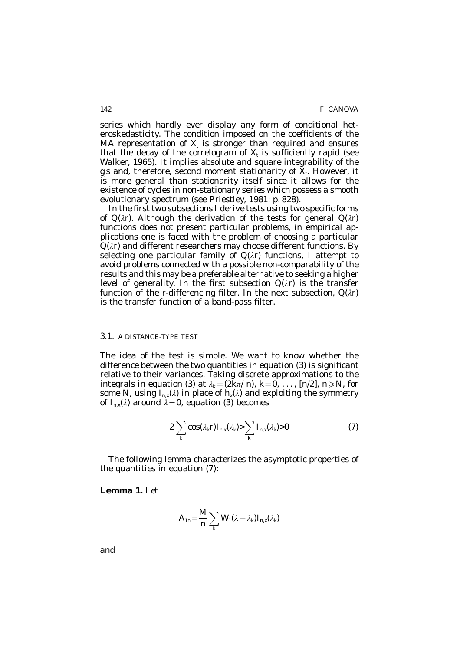series which hardly ever display any form of conditional heteroskedasticity. The condition imposed on the coefficients of the MA representation of  $X_t$  is stronger than required and ensures that the decay of the correlogram of  $X_t$  is sufficiently rapid (see Walker, 1965). It implies absolute and square integrability of the *gj*s and, therefore, second moment stationarity of *Xt*. However, it is more general than stationarity itself since it allows for the existence of cycles in non-stationary series which possess a smooth evolutionary spectrum (see Priestley, 1981: p. 828).

In the first two subsections I derive tests using two specific forms of  $Q(\lambda r)$ . Although the derivation of the tests for general  $Q(\lambda r)$ functions does not present particular problems, in empirical applications one is faced with the problem of choosing a particular  $Q(\lambda r)$  and different researchers may choose different functions. By selecting one particular family of  $Q(\lambda r)$  functions, I attempt to avoid problems connected with a possible non-comparability of the results and this may be a preferable alternative to seeking a higher level of generality. In the first subsection  $Q(\lambda r)$  is the transfer function of the *r*-differencing filter. In the next subsection,  $Q(\lambda r)$ is the transfer function of a band-pass filter.

#### 3.1. A DISTANCE-TYPE TEST

The idea of the test is simple. We want to know whether the difference between the two quantities in equation (3) is significant relative to their variances. Taking discrete approximations to the integrals in equation (3) at  $\lambda_k = (2k\pi/n)$ ,  $k=0, \ldots, [n/2]$ ,  $n \ge N$ , for some *N*, using  $I_{n}$ , ( $\lambda$ ) in place of  $h_{\lambda}(\lambda)$  and exploiting the symmetry of  $I_{n}(\lambda)$  around  $\lambda=0$ , equation (3) becomes

$$
2\sum_{k}\cos(\lambda_{k}r)I_{n,x}(\lambda_{k})>\sum_{k}I_{n,x}(\lambda_{k})>0
$$
\n(7)

The following lemma characterizes the asymptotic properties of the quantities in equation (7):

### **Lemma 1.** *Let*

$$
A_{1n} = \frac{M}{n} \sum_{k} W_1(\lambda - \lambda_k) I_{n,x}(\lambda_k)
$$

*and*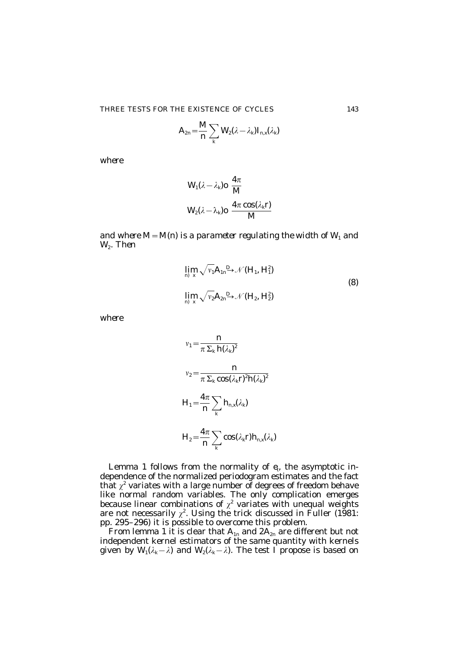THREE TESTS FOR THE EXISTENCE OF CYCLES 143

$$
A_{2n} = \frac{M}{n} \sum_{k} W_2(\lambda - \lambda_k) I_{n,x}(\lambda_k)
$$

*where*

$$
W_1(\lambda - \lambda_k) \odot \frac{4\pi}{M}
$$
  

$$
W_2(\lambda - \lambda_k) \odot \frac{4\pi \cos(\lambda_k t)}{M}
$$

*and where*  $M = M(n)$  *is a parameter regulating the width of*  $W_1$  *and W*2*. Then*

$$
\lim_{n \to \infty} \sqrt{v_1} A_{1n} \xrightarrow{D} \mathcal{N}(H_1, H_1^2)
$$
\n
$$
\lim_{n \to \infty} \sqrt{v_2} A_{2n} \xrightarrow{D} \mathcal{N}(H_2, H_2^2)
$$
\n(8)

*where*

$$
v_1 = \frac{n}{\pi \sum_k h(\lambda_k)^2}
$$
  

$$
v_2 = \frac{n}{\pi \sum_k \cos(\lambda_k r)^2 h(\lambda_k)^2}
$$
  

$$
H_1 = \frac{4\pi}{n} \sum_k h_{n,x}(\lambda_k)
$$
  

$$
H_2 = \frac{4\pi}{n} \sum_k \cos(\lambda_k r) h_{n,x}(\lambda_k)
$$

Lemma 1 follows from the normality of  $e_t$ , the asymptotic independence of the normalized periodogram estimates and the fact that  $\chi^2$  variates with a large number of degrees of freedom behave like normal random variables. The only complication emerges because linear combinations of  $\chi^2$  variates with unequal weights are not necessarily  $\chi^2$ . Using the trick discussed in Fuller (1981: pp. 295–296) it is possible to overcome this problem.

From lemma 1 it is clear that  $A_{1n}$  and  $2A_{2n}$  are different but not independent kernel estimators of the same quantity with kernels given by  $W_1(\lambda_k-\lambda)$  and  $W_2(\lambda_k-\lambda)$ . The test I propose is based on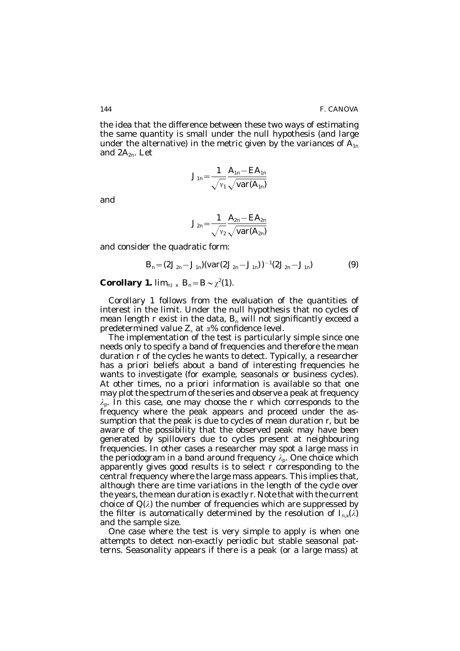the idea that the difference between these two ways of estimating the same quantity is small under the null hypothesis (and large under the alternative) in the metric given by the variances of  $\overline{A}_{1n}$ and  $2A_{2n}$ . Let

$$
J_{1n} = \frac{1}{\sqrt{v_1}} \frac{A_{1n} - EA_{1n}}{\sqrt{\text{var}(A_{1n})}}
$$

and

$$
J_{2n} \!\!=\!\! \frac{1}{\sqrt{\mathop{\nu}_2}\sqrt{\text{var}(A_{2n})}} \!\! \frac{A_{2n} \!-\! E\!A_{2n}}{\sqrt{\text{var}(A_{2n})}}
$$

and consider the quadratic form:

$$
B_n = (2J_{2n} - J_{1n})(var(2J_{2n} - J_{1n}))^{-1}(2J_{2n} - J_{1n})
$$
\n(9)

**Corollary 1.**  $\lim_{n \to \infty} B_n = B \sim \chi^2(1)$ .

Corollary 1 follows from the evaluation of the quantities of interest in the limit. Under the null hypothesis that no cycles of mean length  $r$  exist in the data,  $B<sub>n</sub>$  will not significantly exceed a predetermined value  $Z_{\alpha}$  at  $\alpha$ % confidence level.

The implementation of the test is particularly simple since one needs only to specify a band of frequencies and therefore the mean duration *r* of the cycles he wants to detect. Typically, a researcher has *a priori* beliefs about a band of interesting frequencies he wants to investigate (for example, seasonals or business cycles). At other times, no *a priori* information is available so that one may plot the spectrum of the series and observe a peak at frequency  $\lambda_p$ . In this case, one may choose the *r* which corresponds to the frequency where the peak appears and proceed under the assumption that the peak is due to cycles of mean duration *r*, but be aware of the possibility that the observed peak may have been generated by spillovers due to cycles present at neighbouring frequencies. In other cases a researcher may spot a large mass in the periodogram in a band around frequency  $\lambda_p$ . One choice which apparently gives good results is to select *r* corresponding to the central frequency where the large mass appears. This implies that, although there are time variations in the length of the cycle over the years, the mean duration is exactly *r*. Note that with the current choice of  $Q(\lambda)$  the number of frequencies which are suppressed by the filter is automatically determined by the resolution of  $I_{nx}(\lambda)$ and the sample size.

One case where the test is very simple to apply is when one attempts to detect non-exactly periodic but stable seasonal patterns. Seasonality appears if there is a peak (or a large mass) at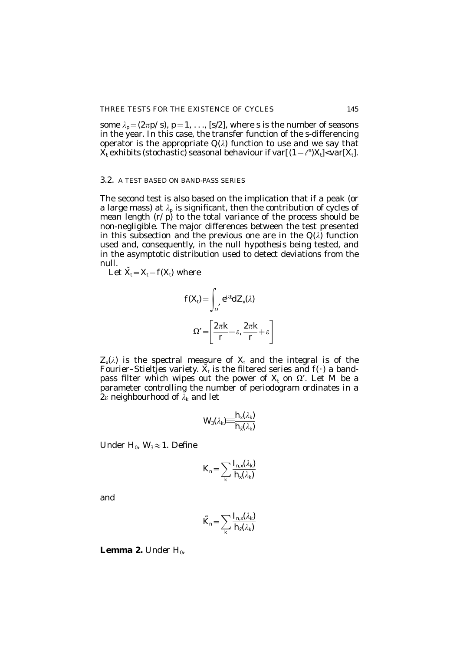some  $\lambda_p = (2\pi p/s)$ ,  $p=1, \ldots, [s/2]$ , where *s* is the number of seasons in the year. In this case, the transfer function of the *s*-differencing operator is the appropriate  $Q(\lambda)$  function to use and we say that  $\tilde{X_t}$  exhibits (stochastic) seasonal behaviour if var[(1−*t°)X<sub>t</sub>*]<var[ $X_t$ ].

#### 3.2. A TEST BASED ON BAND-PASS SERIES

The second test is also based on the implication that if a peak (or a large mass) at  $\lambda_p$  is significant, then the contribution of cycles of mean length  $(r/p)$  to the total variance of the process should be non-negligible. The major differences between the test presented in this subsection and the previous one are in the  $Q(\lambda)$  function used and, consequently, in the null hypothesis being tested, and in the asymptotic distribution used to detect deviations from the null.

Let  $\tilde{X}_t = X_t - f(X_t)$  where

$$
f(X_t) = \int_{\Omega'} e^{i\lambda t} dZ_x(\lambda)
$$

$$
\Omega' = \left[ \frac{2\pi k}{r} - \varepsilon, \frac{2\pi k}{r} + \varepsilon \right]
$$

 $Z_{x}(\lambda)$  is the spectral measure of  $X_{t}$  and the integral is of the Fourier–Stieltjes variety.  $\tilde{X}_t$  is the filtered series and  $f(\cdot)$  a bandpass filter which wipes out the power of  $X_t$  on  $\Omega'$ . Let M be a parameter controlling the number of periodogram ordinates in a  $2\varepsilon$  neighbourhood of  $\overline{\lambda}_k$  and let

$$
W_3(\lambda_k) = \frac{h_x(\lambda_k)}{h_{\tilde{x}}(\lambda_k)}
$$

Under  $H_0$ ,  $W_3 \approx 1$ . Define

$$
K_n = \sum_k \frac{I_{n,x}(\lambda_k)}{h_x(\lambda_k)}
$$

and

$$
\tilde{K}_n = \sum_k \frac{I_{n,x}(\lambda_k)}{h_{\tilde{x}}(\lambda_k)}
$$

**Lemma 2.** *Under*  $H_0$ *,*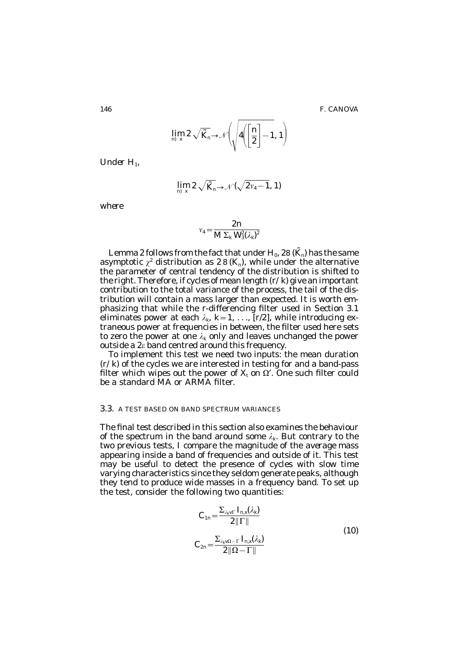146 F. CANOVA

$$
\lim_{n \to \infty} 2 \sqrt{\tilde{K}_n} \rightarrow \mathcal{N}\left(\sqrt{4\left(\left[\frac{n}{2}\right]-1, 1\right)}\right)
$$

*Under H*<sub>1</sub>*,* 

$$
\lim_{n)\,\times}\,2\,\sqrt{\tilde{K}_n}\rightarrow \mathcal{N}(\sqrt{2\nu_4-1},\,1)
$$

*where*

$$
v_4 = \frac{2n}{M\Sigma_k W_3^2(\lambda_k)^2}
$$

Lemma 2 follows from the fact that under  $H_0$ ,  $28(\tilde{K}_n)$  has the same asymptotic  $\chi^2$  distribution as  $2 \, 8(K_n)$ , while under the alternative the parameter of central tendency of the distribution is shifted to the right. Therefore, if cycles of mean length (*r/k*) give an important contribution to the total variance of the process, the tail of the distribution will contain a mass larger than expected. It is worth emphasizing that while the *r*-differencing filter used in Section 3.1 eliminates power at each  $\lambda_k$ ,  $k=1, \ldots, [r/2]$ , while introducing extraneous power at frequencies in between, the filter used here sets to zero the power at one  $\lambda_k$  only and leaves unchanged the power outside a 2e band centred around this frequency.

To implement this test we need two inputs: the mean duration (*r/k*) of the cycles we are interested in testing for and a band-pass filter which wipes out the power of  $X_t$  on  $\Omega'$ . One such filter could be a standard MA or ARMA filter.

#### 3.3. A TEST BASED ON BAND SPECTRUM VARIANCES

The final test described in this section also examines the behaviour of the spectrum in the band around some  $\lambda_k$ . But contrary to the two previous tests, I compare the magnitude of the *average* mass appearing inside a band of frequencies and outside of it. This test may be useful to detect the presence of cycles with slow time varying characteristics since they seldom generate peaks, although they tend to produce wide masses in a frequency band. To set up the test, consider the following two quantities:

$$
C_{1n} = \frac{\sum_{\lambda_{k} \in \Gamma} I_{n,x}(\lambda_k)}{2\|\Gamma\|}
$$
  

$$
C_{2n} = \frac{\sum_{\lambda_{k} \in \Omega - \Gamma} I_{n,x}(\lambda_k)}{2\|\Omega - \Gamma\|}
$$
 (10)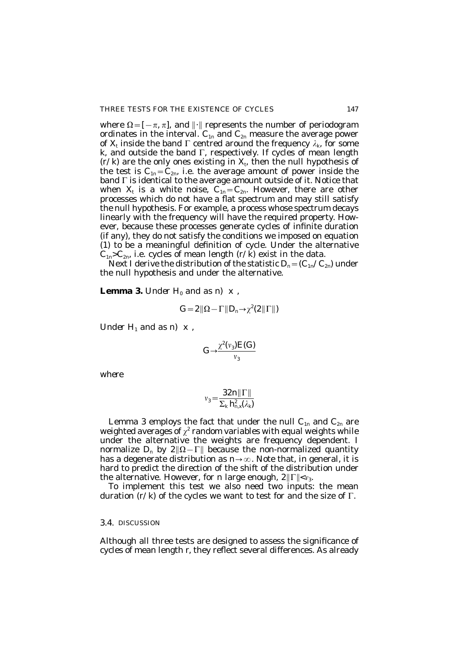where  $\Omega = [-\pi, \pi]$ , and  $||\cdot||$  represents the number of periodogram ordinates in the interval.  $C_{1n}$  and  $C_{2n}$  measure the average power of  $X_t$  inside the band  $\Gamma$  centred around the frequency  $\lambda_k$ , for some  $k$ , and outside the band  $\Gamma$ , respectively. If cycles of mean length  $(r/k)$  are the only ones existing in  $X<sub>b</sub>$  then the null hypothesis of the test is  $C_{1n} = C_{2n}$ , i.e. the average amount of power inside the band  $\Gamma$  is identical to the average amount outside of it. Notice that when  $X_t$  is a white noise,  $C_{1n} = C_{2n}$ . However, there are other processes which do not have a flat spectrum and may still satisfy the null hypothesis. For example, a process whose spectrum decays linearly with the frequency will have the required property. However, because these processes generate cycles of infinite duration (if any), they do not satisfy the conditions we imposed on equation (1) to be a meaningful definition of cycle. Under the alternative  $C_{1n}$ > $C_{2n}$ , i.e. cycles of mean length (*r/k*) exist in the data.

Next I derive the distribution of the statistic  $D_n = (C_{1n}/C_{2n})$  under the null hypothesis and under the alternative.

**Lemma 3.** *Under*  $H_0$  *and as n*)  $\times$  *,* 

$$
G=2\|\Omega-\Gamma\|D_n\to\chi^2(2\|\Gamma\|)
$$

*Under H<sub>1</sub> and as n*)  $\times$ *,* 

$$
G\rightarrow \frac{\chi^2(v_3)E(G)}{v_3}
$$

*where*

$$
v_3 = \frac{32n\|\Gamma\|}{\sum_k h_{n,x}^2(\lambda_k)}
$$

Lemma 3 employs the fact that under the null  $C_{1n}$  and  $C_{2n}$  are weighted averages of  $\chi^2$  random variables with equal weights while under the alternative the weights are frequency dependent. I normalize *D<sub>n</sub>* by 2 $\|$ Ω−Γ $\|$  because the non-normalized quantity has a degenerate distribution as *n*→∞. Note that, in general, it is hard to predict the direction of the shift of the distribution under the alternative. However, for *n* large enough,  $2||\Gamma|| < v_3$ .

To implement this test we also need two inputs: the mean duration  $(r/k)$  of the cycles we want to test for and the size of  $\Gamma$ .

#### 3.4. DISCUSSION

Although all three tests are designed to assess the significance of cycles of mean length *r*, they reflect several differences. As already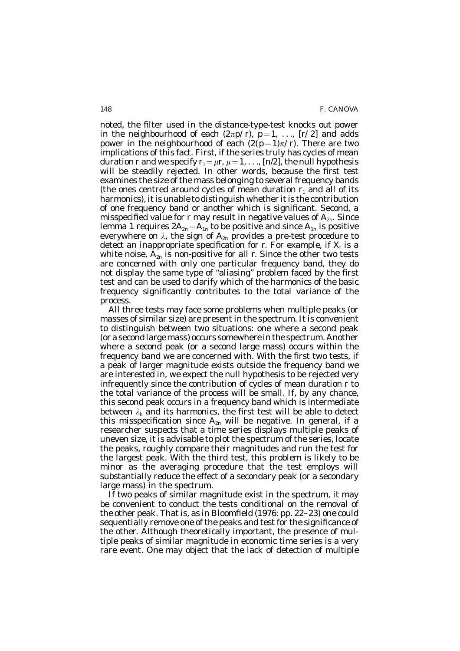noted, the filter used in the distance-type-test knocks out power in the neighbourhood of each  $(2\pi p/r)$ ,  $p=1, \ldots, [r/2]$  and adds  $power$  in the neighbourhood of each (2(*p−*1)π/*r*). There are two implications of this fact. First, if the series truly has cycles of mean duration *r* and we specify  $r_1 = \mu r$ ,  $\mu = 1, \ldots, \lceil n/2 \rceil$ , the null hypothesis will be steadily rejected. In other words, because the first test examines the size of the mass belonging to several frequency bands (the ones centred around cycles of mean duration  $r_1$  and all of its harmonics), it is unable to distinguish whether it is the contribution of one frequency band or another which is significant. Second, a misspecified value for  $r$  may result in negative values of  $A_{2n}$ . Since lemma 1 requires  $2A_{2n}-A_{1n}$  to be positive and since  $A_{1n}$  is positive everywhere on  $\lambda$ , the sign of  $A_{2n}$  provides a pre-test procedure to detect an inappropriate specification for  $r$ . For example, if  $X_t$  is a white noise,  $\overline{A}_{2n}$  is non-positive for all *r*. Since the other two tests are concerned with only one particular frequency band, they do not display the same type of "aliasing" problem faced by the first test and can be used to clarify which of the harmonics of the basic frequency significantly contributes to the total variance of the process.

All three tests may face some problems when multiple peaks (or masses of similar size) are present in the spectrum. It is convenient to distinguish between two situations: one where a second peak (or a second large mass) occurs somewhere in the spectrum. Another where a second peak (or a second large mass) occurs within the frequency band we are concerned with. With the first two tests, if a peak of *larger* magnitude exists outside the frequency band we are interested in, we expect the null hypothesis to be rejected very infrequently since the contribution of cycles of mean duration *r* to the total variance of the process will be small. If, by any chance, this second peak occurs in a frequency band which is intermediate between  $\lambda_k$  and its harmonics, the first test will be able to detect this misspecification since  $A_{2n}$  will be negative. In general, if a researcher suspects that a time series displays multiple peaks of uneven size, it is advisable to plot the spectrum of the series, locate the peaks, roughly compare their magnitudes and run the test for the largest peak. With the third test, this problem is likely to be minor as the averaging procedure that the test employs will substantially reduce the effect of a secondary peak (or a secondary large mass) in the spectrum.

If two peaks of similar magnitude exist in the spectrum, it may be convenient to conduct the tests conditional on the removal of the other peak. That is, as in Bloomfield (1976: pp. 22–23) one could sequentially remove one of the peaks and test for the significance of the other. Although theoretically important, the presence of multiple peaks of similar magnitude in economic time series is a very rare event. One may object that the lack of detection of multiple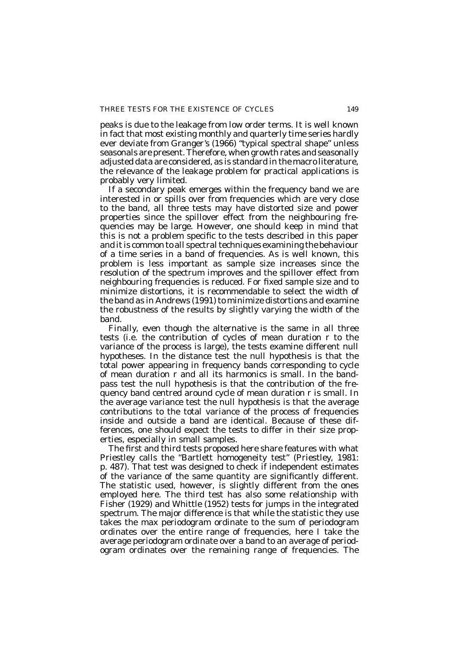peaks is due to the leakage from low order terms. It is well known in fact that most existing monthly and quarterly time series hardly ever deviate from Granger's (1966) "typical spectral shape" unless seasonals are present. Therefore, when growth rates and seasonally adjusted data are considered, as is standard in the macro literature, the relevance of the leakage problem for practical applications is probably very limited.

If a secondary peak emerges within the frequency band we are interested in or spills over from frequencies which are very close to the band, all three tests may have distorted size and power properties since the spillover effect from the neighbouring frequencies may be large. However, one should keep in mind that this is not a problem specific to the tests described in this paper and it is common to all spectral techniques examining the behaviour of a time series in a band of frequencies. As is well known, this problem is less important as sample size increases since the resolution of the spectrum improves and the spillover effect from neighbouring frequencies is reduced. For fixed sample size and to minimize distortions, it is recommendable to select the width of the band as in Andrews (1991) to minimize distortions and examine the robustness of the results by slightly varying the width of the band.

Finally, even though the alternative is the same in all three tests (i.e. the contribution of cycles of mean duration *r* to the variance of the process is large), the tests examine different null hypotheses. In the distance test the null hypothesis is that the total power appearing in frequency bands corresponding to cycle of mean duration *r* and all its harmonics is small. In the bandpass test the null hypothesis is that the contribution of the frequency band centred around cycle of mean duration *r* is small. In the average variance test the null hypothesis is that the average contributions to the total variance of the process of frequencies inside and outside a band are identical. Because of these differences, one should expect the tests to differ in their size properties, especially in small samples.

The first and third tests proposed here share features with what Priestley calls the "Bartlett homogeneity test" (Priestley, 1981: p. 487). That test was designed to check if independent estimates of the variance of the same quantity are significantly different. The statistic used, however, is slightly different from the ones employed here. The third test has also some relationship with Fisher (1929) and Whittle (1952) tests for jumps in the integrated spectrum. The major difference is that while the statistic they use takes the max periodogram ordinate to the sum of periodogram ordinates over the entire range of frequencies, here I take the average periodogram ordinate over a band to an average of periodogram ordinates over the remaining range of frequencies. The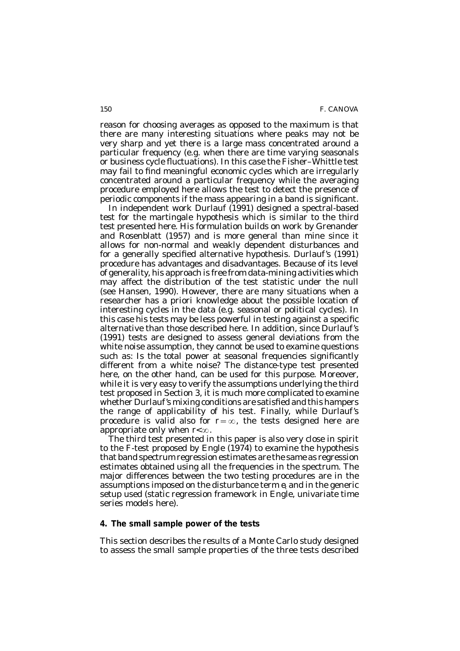reason for choosing averages as opposed to the maximum is that there are many interesting situations where peaks may not be very sharp and yet there is a large mass concentrated around a particular frequency (e.g. when there are time varying seasonals or business cycle fluctuations). In this case the Fisher–Whittle test may fail to find meaningful economic cycles which are irregularly concentrated around a particular frequency while the averaging procedure employed here allows the test to detect the presence of periodic components if the mass appearing in a band is significant.

In independent work Durlauf (1991) designed a spectral-based test for the martingale hypothesis which is similar to the third test presented here. His formulation builds on work by Grenander and Rosenblatt (1957) and is more general than mine since it allows for non-normal and weakly dependent disturbances and for a generally specified alternative hypothesis. Durlauf's (1991) procedure has advantages and disadvantages. Because of its level of generality, his approach is free from data-mining activities which may affect the distribution of the test statistic under the null (see Hansen, 1990). However, there are many situations when a researcher has *a priori* knowledge about the possible location of interesting cycles in the data (e.g. seasonal or political cycles). In this case his tests may be less powerful in testing against a specific alternative than those described here. In addition, since Durlauf's (1991) tests are designed to assess general deviations from the white noise assumption, they cannot be used to examine questions such as: Is the *total* power at seasonal frequencies significantly different from a white noise? The distance-type test presented here, on the other hand, can be used for this purpose. Moreover, while it is very easy to verify the assumptions underlying the third test proposed in Section 3, it is much more complicated to examine whether Durlauf's mixing conditions are satisfied and this hampers the range of applicability of his test. Finally, while Durlauf's procedure is valid also for  $r = \infty$ , the tests designed here are appropriate only when *r*<∞.

The third test presented in this paper is also very close in spirit to the *F*-test proposed by Engle (1974) to examine the hypothesis that band spectrum regression estimates are the same as regression estimates obtained using all the frequencies in the spectrum. The major differences between the two testing procedures are in the assumptions imposed on the disturbance term  $e_t$  and in the generic setup used (static regression framework in Engle, univariate time series models here).

### **4. The small sample power of the tests**

This section describes the results of a Monte Carlo study designed to assess the small sample properties of the three tests described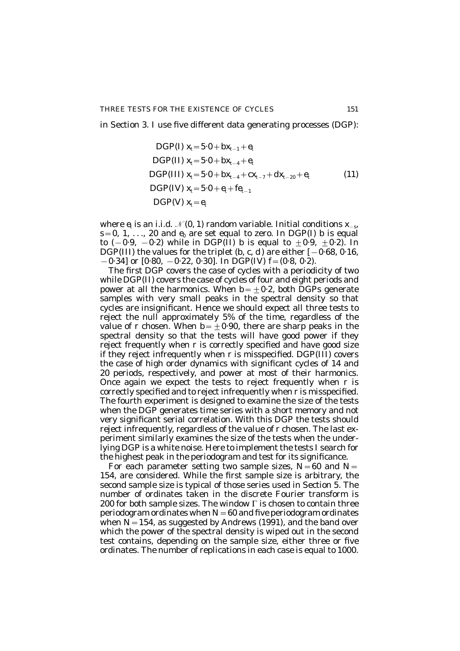THREE TESTS FOR THE EXISTENCE OF CYCLES 151

in Section 3. I use five different data generating processes (DGP):

DGP(I) 
$$
x_t = 5 \cdot 0 + bx_{t-1} + e_t
$$
  
\nDGP(II)  $x_t = 5 \cdot 0 + bx_{t-4} + e_t$   
\nDGP(III)  $x_t = 5 \cdot 0 + bx_{t-4} + cx_{t-7} + dx_{t-20} + e_t$  (11)  
\nDGP(IV)  $x_t = 5 \cdot 0 + e_t + fe_{t-1}$   
\nDGP(V)  $x_t = e_t$ 

where  $e_t$  is an i.i.d.  $\mathcal{N}(0, 1)$  random variable. Initial conditions  $x_{-s}$ ,  $s=0, 1, \ldots, 20$  and  $e_0$  are set equal to zero. In DGP(I) *b* is equal to (−0·9, −0·2) while in DGP(II) *b* is equal to  $\pm$ 0·9,  $\pm$ 0·2). In DGP(III) the values for the triplet  $(b, c, d)$  are either  $[-0.68, 0.16,$ −0·34] or [0·80, −0·22, 0·30]. In DGP(IV) *f*=(0·8, 0·2).

The first DGP covers the case of cycles with a periodicity of two while DGP(II) covers the case of cycles of four and eight periods and power at all the harmonics. When  $b=\pm 0.2$ , both DGPs generate samples with very small peaks in the spectral density so that cycles are insignificant. Hence we should expect all three tests to reject the null approximately 5% of the time, regardless of the value of *r* chosen. When  $b=\pm 0.90$ , there are sharp peaks in the spectral density so that the tests will have good power if they reject frequently when *r* is correctly specified and have good size if they reject infrequently when *r* is misspecified. DGP(III) covers the case of high order dynamics with significant cycles of 14 and 20 periods, respectively, and power at most of their harmonics. Once again we expect the tests to reject frequently when *r* is correctly specified and to reject infrequently when *r* is misspecified. The fourth experiment is designed to examine the size of the tests when the DGP generates time series with a short memory and not very significant serial correlation. With this DGP the tests should reject infrequently, regardless of the value of *r* chosen. The last experiment similarly examines the size of the tests when the underlying DGP is a white noise. Here to implement the tests I search for the highest peak in the periodogram and test for its significance.

For each parameter setting two sample sizes, *N*=60 and *N*= 154, are considered. While the first sample size is arbitrary, the second sample size is typical of those series used in Section 5. The number of ordinates taken in the discrete Fourier transform is 200 for both sample sizes. The window  $\Gamma$  is chosen to contain three periodogram ordinates when *N*=60 and five periodogram ordinates when *N*=154, as suggested by Andrews (1991), and the band over which the power of the spectral density is wiped out in the second test contains, depending on the sample size, either three or five ordinates. The number of replications in each case is equal to 1000.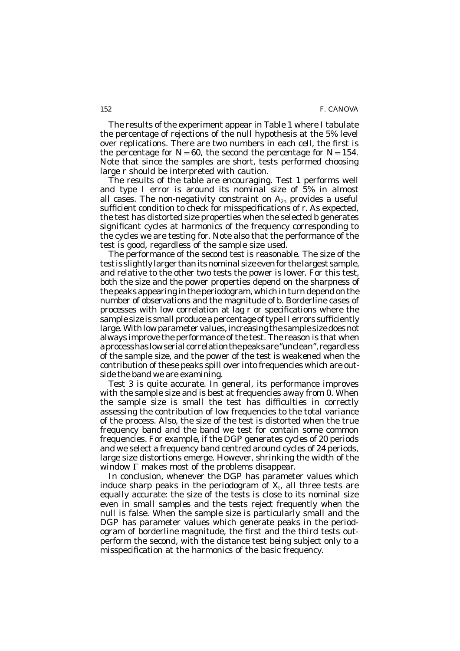The results of the experiment appear in Table 1 where I tabulate the percentage of rejections of the null hypothesis at the 5% level over replications. There are two numbers in each cell, the first is the percentage for  $N=60$ , the second the percentage for  $N=154$ . Note that since the samples are short, tests performed choosing large *r* should be interpreted with caution.

The results of the table are encouraging. Test 1 performs well and type I error is around its nominal size of  $5\%$  in almost all cases. The non-negativity constraint on  $A_{2n}$  provides a useful sufficient condition to check for misspecifications of *r*. As expected, the test has distorted size properties when the selected *b* generates significant cycles at harmonics of the frequency corresponding to the cycles we are testing for. Note also that the performance of the test is good, regardless of the sample size used.

The performance of the second test is reasonable. The size of the test is slightly larger than its nominal size even for the largest sample, and relative to the other two tests the power is lower. For this test, both the size and the power properties depend on the sharpness of the peaks appearing in the periodogram, which in turn depend on the number of observations and the magnitude of *b*. Borderline cases of processes with low correlation at lag *r* or specifications where the sample size is small produce a percentage of type II errors sufficiently large. With low parameter values, increasing the sample size does not always improve the performance of the test. The reason is that when aprocesshaslowserialcorrelationthepeaksare"unclean",regardless of the sample size, and the power of the test is weakened when the contribution of these peaks spill over into frequencies which are outside the band we are examining.

Test 3 is quite accurate. In general, its performance improves with the sample size and is best at frequencies away from 0. When the sample size is small the test has difficulties in correctly assessing the contribution of low frequencies to the total variance of the process. Also, the size of the test is distorted when the true frequency band and the band we test for contain some common frequencies. For example, if the DGP generates cycles of 20 periods and we select a frequency band centred around cycles of 24 periods, large size distortions emerge. However, shrinking the width of the window  $\Gamma$  makes most of the problems disappear.

In conclusion, whenever the DGP has parameter values which induce sharp peaks in the periodogram of  $X<sub>b</sub>$ , all three tests are equally accurate: the size of the tests is close to its nominal size even in small samples and the tests reject frequently when the null is false. When the sample size is particularly small and the DGP has parameter values which generate peaks in the periodogram of borderline magnitude, the first and the third tests outperform the second, with the distance test being subject only to a misspecification at the harmonics of the basic frequency.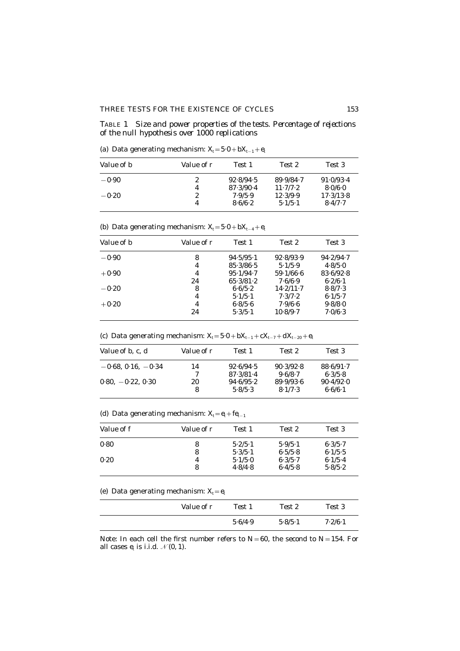TABLE 1 *Size and power properties of the tests. Percentage of rejections of the null hypothesis over 1000 replications*

(a) Data generating mechanism:  $X_t = 5 \cdot 0 + bX_{t-1} + e_t$ 

| <i>Value of b</i> | <i>Value of r</i> | Test 1    | Test 2    | Test 3    |
|-------------------|-------------------|-----------|-----------|-----------|
| $-0.90$           | 2                 | 92.8/94.5 | 89.9/84.7 | 91.0/93.4 |
|                   | 4                 | 87.3/90.4 | 11.7/7.2  | 8.0/6.0   |
| $-0.20$           | 2                 | 7.9/5.9   | 12.3/9.9  | 17.3/13.8 |
|                   | 4                 | 8.6/6.2   | 5.1/5.1   | 8.4/7.7   |

(b) Data generating mechanism:  $X_t = 5 \cdot 0 + bX_{t-4} + e_t$ 

| <i>Value of b</i> | <i>Value of</i> r | Test 1    | Test 2    | Test 3    |
|-------------------|-------------------|-----------|-----------|-----------|
| $-0.90$           | 8                 | 94.5/95.1 | 92.8/93.9 | 94.2/94.7 |
|                   | 4                 | 85.3/86.5 | 5.1/5.9   | 4.8/5.0   |
| $+0.90$           | 4                 | 95.1/94.7 | 59.1/66.6 | 83.6/92.8 |
|                   | 24                | 65.3/81.2 | 7.6/6.9   | 6.2/6.1   |
| $-0.20$           | 8                 | 6.6/5.2   | 14.2/11.7 | 8.8/7.3   |
|                   | 4                 | 5.1/5.1   | 7.3/7.2   | 6.1/5.7   |
| $+0.20$           | 4                 | 6.8/5.6   | 7.9/6.6   | 9.8/8.0   |
|                   | 24                | 5.3/5.1   | 10.8/9.7  | 7.0/6.3   |

(c) Data generating mechanism:  $X_t = 5.0 + bX_{t-1} + cX_{t-7} + dX_{t-20} + e_t$ 

| <i>Value of b. c. d.</i> | <i>Value of r</i> | Test 1    | Test 2    | Test 3    |
|--------------------------|-------------------|-----------|-----------|-----------|
| $-0.68, 0.16, -0.34$     | 14                | 92.6/94.5 | 90.3/92.8 | 88.6/91.7 |
|                          | 7                 | 87.3/81.4 | 9.6/8.7   | 6.3/5.8   |
| $0.80, -0.22, 0.30$      | 20                | 94.6/95.2 | 89.9/93.6 | 90.4/92.0 |
|                          | 8                 | 5.8/5.3   | 8.1/7.3   | 6.6/6.1   |

(d) Data generating mechanism:  $X_t = e_t + fe_{t-1}$ 

| <i>Value of f</i> | <i>Value of r</i> | Test 1  | Test 2  | Test 3  |
|-------------------|-------------------|---------|---------|---------|
| 0.80              | 8                 | 5.2/5.1 | 5.9/5.1 | 6.3/5.7 |
|                   | 8                 | 5.3/5.1 | 6.5/5.8 | 6.1/5.5 |
| 0.20              | 4                 | 5.1/5.0 | 6.3/5.7 | 6.1/5.4 |
|                   | 8                 | 4.8/4.8 | 6.4/5.8 | 5.8/5.2 |

(e) Data generating mechanism:  $X_t = e_t$ 

| Value of r | Test 1  | Test 2  | Test 3  |
|------------|---------|---------|---------|
|            | 5.6/4.9 | 5.8/5.1 | 7.2/6.1 |

Note: In each cell the first number refers to *N*=60, the second to *N*=154. For all cases  $e_t$  is i.i.d.  $\mathcal{N}(0, 1)$ .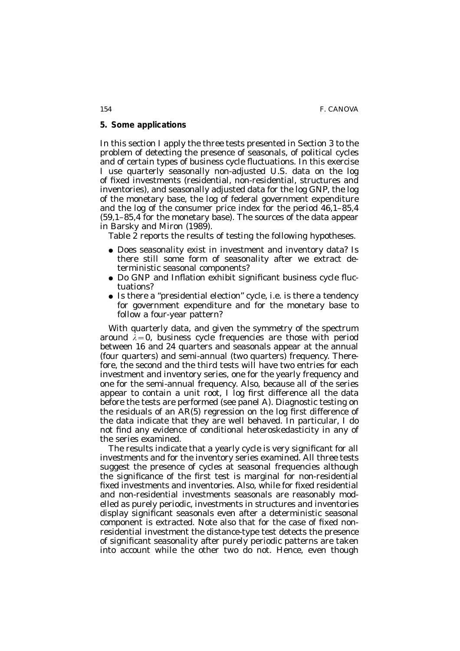#### **5. Some applications**

In this section I apply the three tests presented in Section 3 to the problem of detecting the presence of seasonals, of political cycles and of certain types of business cycle fluctuations. In this exercise I use quarterly seasonally non-adjusted U.S. data on the log of fixed investments (residential, non-residential, structures and inventories), and seasonally adjusted data for the log GNP, the log of the monetary base, the log of federal government expenditure and the log of the consumer price index for the period 46,1–85,4 (59,1–85,4 for the monetary base). The sources of the data appear in Barsky and Miron (1989).

Table 2 reports the results of testing the following hypotheses.

- Does seasonality exist in investment and inventory data? Is there still some form of seasonality after we extract deterministic seasonal components?
- Do GNP and Inflation exhibit significant business cycle fluctuations?
- Is there a "presidential election" cycle, i.e. is there a tendency for government expenditure and for the monetary base to follow a four-year pattern?

With quarterly data, and given the symmetry of the spectrum around  $\lambda=0$ , business cycle frequencies are those with period between 16 and 24 quarters and seasonals appear at the annual (four quarters) and semi-annual (two quarters) frequency. Therefore, the second and the third tests will have two entries for each investment and inventory series, one for the yearly frequency and one for the semi-annual frequency. Also, because all of the series appear to contain a unit root, I log first difference all the data before the tests are performed (see panel A). Diagnostic testing on the residuals of an AR(5) regression on the log first difference of the data indicate that they are well behaved. In particular, I do not find any evidence of conditional heteroskedasticity in any of the series examined.

The results indicate that a yearly cycle is very significant for all investments and for the inventory series examined. All three tests suggest the presence of cycles at seasonal frequencies although the significance of the first test is marginal for non-residential fixed investments and inventories. Also, while for fixed residential and non-residential investments seasonals are reasonably modelled as purely periodic, investments in structures and inventories display significant seasonals even after a deterministic seasonal component is extracted. Note also that for the case of fixed nonresidential investment the distance-type test detects the presence of significant seasonality after purely periodic patterns are taken into account while the other two do not. Hence, even though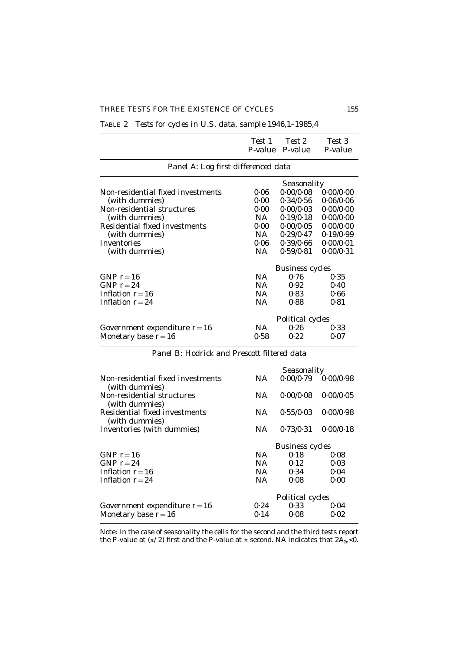TABLE 2 *Tests for cycles in U.S. data, sample 1946,1–1985,4*

|                                     | Test 1                 | Test 2          | Test 3    |
|-------------------------------------|------------------------|-----------------|-----------|
|                                     |                        | P-value P-value | $P-value$ |
| Panel A: Log first differenced data |                        |                 |           |
|                                     | Seasonality            |                 |           |
| Non-residential fixed investments   | 0.06                   | 0.00/0.08       | 0.00/0.00 |
| (with dummies)                      | 0.00                   | 0.34/0.56       | 0.06/0.06 |
| Non-residential structures          | 0.00                   | 0.00/0.03       | 0.00/0.00 |
| (with dummies)                      | NA –                   | 0.19/0.18       | 0.00/0.00 |
| Residential fixed investments       | 0.00                   | 0.00/0.05       | 0.00/0.00 |
| (with dummies)                      | NA –                   | 0.29/0.47       | 0.19/0.99 |
| <b>Inventories</b>                  | 0.06                   | 0.39/0.66       | 0.00/0.01 |
| (with dummies)                      | NA -                   | 0.59/0.81       | 0.00/0.31 |
|                                     | <b>Business cycles</b> |                 |           |
| GNP $r=16$                          | NA.                    | 0.76            | 0.35      |
| GNP $r=24$                          | NA.                    | 0.92            | 0.40      |
| Inflation $r=16$                    | <b>NA</b>              | 0.83            | 0.66      |
| Inflation $r=24$                    | NA.                    | 0.88            | 0.81      |
|                                     | Political cycles       |                 |           |
| Government expenditure $r=16$       | NA.                    | 0.26            | 0.33      |
| Monetary base $r=16$                | 0.58                   | 0.22            | 0.07      |

*Panel B: Hodrick and Prescott filtered data*

|                                                     | Seasonality |                        |           |
|-----------------------------------------------------|-------------|------------------------|-----------|
| Non-residential fixed investments<br>(with dummies) | NA.         | 0.00/0.79              | 0.00/0.98 |
| Non-residential structures<br>(with dummies)        | NA.         | 0.00/0.08              | 0.00/0.05 |
| Residential fixed investments<br>(with dummies)     | NA.         | 0.55/0.03              | 0.00/0.98 |
| Inventories (with dummies)                          | NA.         | 0.73/0.31              | 0.00/0.18 |
|                                                     |             | <b>Business cycles</b> |           |
| GNP $r=16$                                          | NA.         | 0.18                   | 0.08      |
| GNP $r=24$                                          | NA.         | 0.12                   | 0.03      |
| Inflation $r=16$                                    | NA.         | 0.34                   | 0.04      |
| Inflation $r=24$                                    | NA.         | 0.08                   | 0.00      |
|                                                     |             | Political cycles       |           |
| Government expenditure $r=16$                       | 0.24        | 0.33                   | 0.04      |
| Monetary base $r=16$                                | 0.14        | 0.08                   | 0.02      |

Note: In the case of seasonality the cells for the second and the third tests report the *P*-value at ( $\pi/2$ ) first and the *P*-value at  $\pi$  second. NA indicates that 2 $A_{2n}<$  0.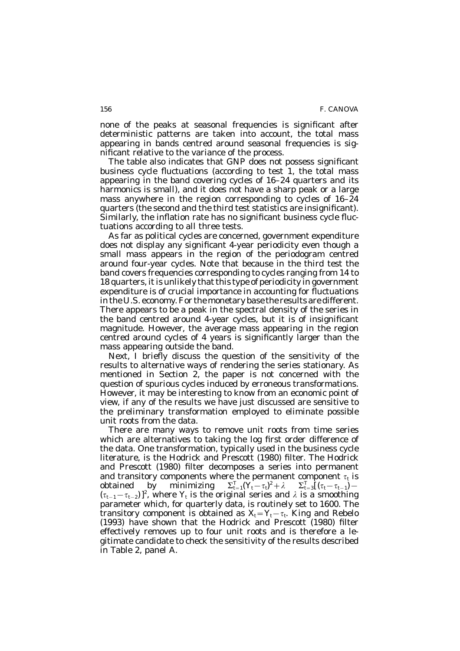none of the peaks at seasonal frequencies is significant after deterministic patterns are taken into account, the total mass appearing in bands centred around seasonal frequencies is significant relative to the variance of the process.

The table also indicates that GNP does not possess significant business cycle fluctuations (according to test 1, the total mass appearing in the band covering cycles of 16–24 quarters *and* its harmonics is small), and it does not have a sharp peak or a large mass anywhere in the region corresponding to cycles of 16–24 quarters (the second and the third test statistics are insignificant). Similarly, the inflation rate has no significant business cycle fluctuations according to all three tests.

As far as political cycles are concerned, government expenditure does not display any significant 4-year periodicity even though a small mass appears in the region of the periodogram centred around four-year cycles. Note that because in the third test the band covers frequencies corresponding to cycles ranging from 14 to 18 quarters, it is unlikely that this type of periodicity in government expenditure is of crucial importance in accounting for fluctuations in the U.S. economy. For the monetary base the results are different. There appears to be a peak in the spectral density of the series in the band centred around 4-year cycles, but it is of insignificant magnitude. However, the average mass appearing in the region centred around cycles of 4 years is significantly larger than the mass appearing outside the band.

Next, I briefly discuss the question of the sensitivity of the results to alternative ways of rendering the series stationary. As mentioned in Section 2, the paper is not concerned with the question of spurious cycles induced by erroneous transformations. However, it may be interesting to know from an economic point of view, if any of the results we have just discussed are sensitive to the preliminary transformation employed to eliminate possible unit roots from the data.

There are many ways to remove unit roots from time series which are alternatives to taking the log first order difference of the data. One transformation, typically used in the business cycle literature, is the Hodrick and Prescott (1980) filter. The Hodrick and Prescott (1980) filter decomposes a series into permanent and transitory components where the permanent component  $\tau_t$  is obtained by minimizing  $\sum_{t=1}^{T} (Y_t - \tau_t)^2 + \lambda \qquad \sum_{t=3}^{T} [(\tau_t - \tau_{t-1}) (\tau_{t-1}-\tau_{t-2})$ <sup>2</sup>, where  $Y_t$  is the original series and  $\lambda$  is a smoothing parameter which, for quarterly data, is routinely set to 1600. The transitory component is obtained as  $X_t = Y_t - \tau_t$ . King and Rebelo (1993) have shown that the Hodrick and Prescott (1980) filter effectively removes up to four unit roots and is therefore a legitimate candidate to check the sensitivity of the results described in Table 2, panel A.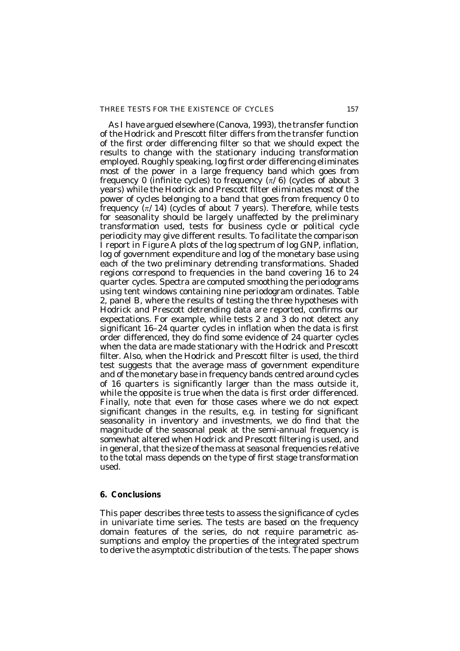As I have argued elsewhere (Canova, 1993), the transfer function of the Hodrick and Prescott filter differs from the transfer function of the first order differencing filter so that we should expect the results to change with the stationary inducing transformation employed. Roughly speaking, log first order differencing eliminates most of the power in a large frequency band which goes from frequency 0 (infinite cycles) to frequency  $(\pi/6)$  (cycles of about 3 years) while the Hodrick and Prescott filter eliminates most of the power of cycles belonging to a band that goes from frequency 0 to frequency  $(\pi/14)$  (cycles of about 7 years). Therefore, while tests for seasonality should be largely unaffected by the preliminary transformation used, tests for business cycle or political cycle periodicity may give different results. To facilitate the comparison I report in Figure A plots of the log spectrum of log GNP, inflation, log of government expenditure and log of the monetary base using each of the two preliminary detrending transformations. Shaded regions correspond to frequencies in the band covering 16 to 24 quarter cycles. Spectra are computed smoothing the periodograms using tent windows containing nine periodogram ordinates. Table 2, panel B, where the results of testing the three hypotheses with Hodrick and Prescott detrending data are reported, confirms our expectations. For example, while tests 2 and 3 do not detect any significant 16–24 quarter cycles in inflation when the data is first order differenced, they do find some evidence of 24 quarter cycles when the data are made stationary with the Hodrick and Prescott filter. Also, when the Hodrick and Prescott filter is used, the third test suggests that the average mass of government expenditure and of the monetary base in frequency bands centred around cycles of 16 quarters is significantly larger than the mass outside it, while the opposite is true when the data is first order differenced. Finally, note that even for those cases where we do not expect significant changes in the results, e.g. in testing for significant seasonality in inventory and investments, we do find that the magnitude of the seasonal peak at the semi-annual frequency is somewhat altered when Hodrick and Prescott filtering is used, and in general, that the size of the mass at seasonal frequencies relative to the total mass depends on the type of first stage transformation used.

#### **6. Conclusions**

This paper describes three tests to assess the significance of cycles in univariate time series. The tests are based on the frequency domain features of the series, do not require parametric assumptions and employ the properties of the integrated spectrum to derive the asymptotic distribution of the tests. The paper shows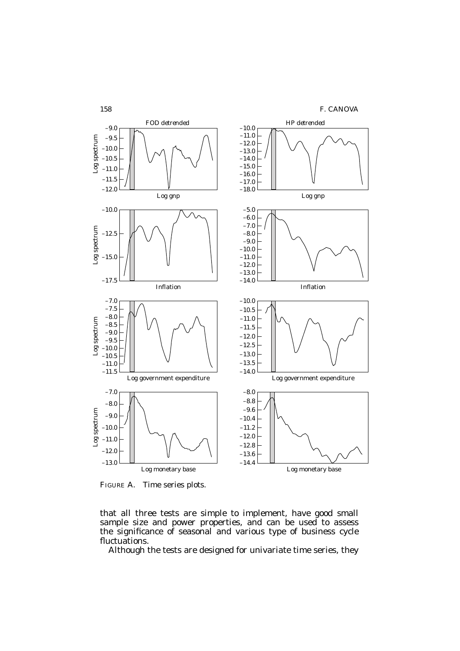

FIGURE A. Time series plots.

that all three tests are simple to implement, have good small sample size and power properties, and can be used to assess the significance of seasonal and various type of business cycle fluctuations.

Although the tests are designed for univariate time series, they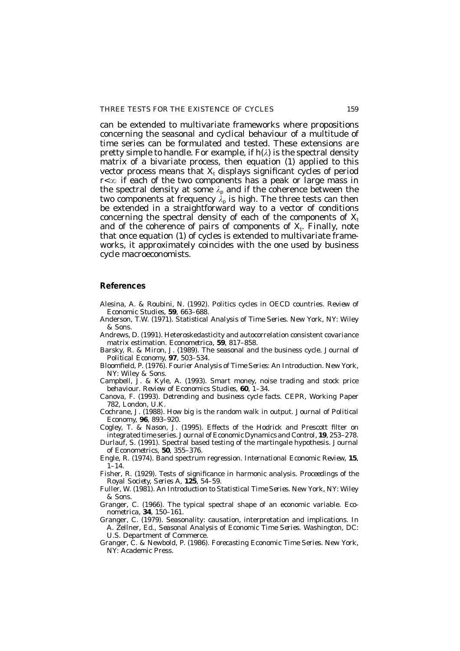can be extended to multivariate frameworks where propositions concerning the seasonal and cyclical behaviour of a multitude of time series can be formulated and tested. These extensions are pretty simple to handle. For example, if  $h(\lambda)$  is the spectral density matrix of a bivariate process, then equation (1) applied to this vector process means that  $X_t$  displays significant cycles of period *r*<∞ if each of the two components has a peak or large mass in the spectral density at some  $\lambda_p$  and if the coherence between the two components at frequency  $\lambda_p$  is high. The three tests can then be extended in a straightforward way to a vector of conditions concerning the spectral density of each of the components of  $X_t$ and of the coherence of pairs of components of  $X<sub>t</sub>$ . Finally, note that once equation (1) of cycles is extended to multivariate frameworks, it approximately coincides with the one used by business cycle macroeconomists.

#### **References**

- Alesina, A. & Roubini, N. (1992). Politics cycles in OECD countries. *Review of Economic Studies*, **59**, 663–688.
- Anderson, T.W. (1971). *Statistical Analysis of Time Series.* New York, NY: Wiley & Sons.
- Andrews, D. (1991). Heteroskedasticity and autocorrelation consistent covariance matrix estimation. *Econometrica*, **59**, 817–858.
- Barsky, R. & Miron, J. (1989). The seasonal and the business cycle. *Journal of Political Economy*, **97**, 503–534.
- Bloomfield, P. (1976). *Fourier Analysis of Time Series: An Introduction.* New York, NY: Wiley & Sons.
- Campbell, J. & Kyle, A. (1993). Smart money, noise trading and stock price behaviour. *Review of Economics Studies*, **60**, 1–34.
- Canova, F. (1993). *Detrending and business cycle facts.* CEPR, Working Paper 782, London, U.K.
- Cochrane, J. (1988). How big is the random walk in output. *Journal of Political Economy*, **96**, 893–920.
- Cogley, T. & Nason, J. (1995). Effects of the Hodrick and Prescott filter on integrated time series. *Journal of Economic Dynamics and Control*, **19**, 253–278.
- Durlauf, S. (1991). Spectral based testing of the martingale hypothesis. *Journal of Econometrics*, **50**, 355–376.
- Engle, R. (1974). Band spectrum regression. *International Economic Review*, **15**,  $1 - 14$ .
- Fisher, R. (1929). Tests of significance in harmonic analysis. *Proceedings of the Royal Society, Series A*, **125**, 54–59.
- Fuller, W. (1981). *An Introduction to Statistical Time Series*. New York, NY: Wiley & Sons.
- Granger, C. (1966). The typical spectral shape of an economic variable. *Econometrica*, **34**, 150–161.
- Granger, C. (1979). Seasonality: causation, interpretation and implications. In A. Zellner, Ed., *Seasonal Analysis of Economic Time Series*. Washington, DC: U.S. Department of Commerce.
- Granger, C. & Newbold, P. (1986). *Forecasting Economic Time Series*. New York, NY: Academic Press.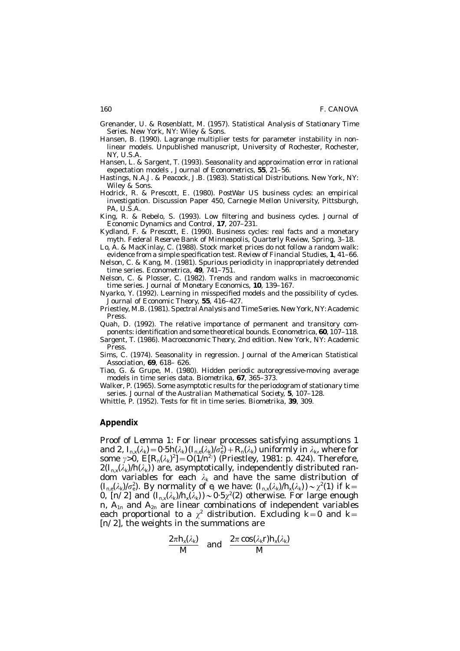Grenander, U. & Rosenblatt, M. (1957). *Statistical Analysis of Stationary Time Series*. New York, NY: Wiley & Sons.

- Hansen, B. (1990). Lagrange multiplier tests for parameter instability in nonlinear models. Unpublished manuscript, University of Rochester, Rochester, NY, U.S.A.
- Hansen, L. & Sargent, T. (1993). Seasonality and approximation error in rational expectation models , *Journal of Econometrics*, **55**, 21–56.
- Hastings, N.A.J. & Peacock, J.B. (1983). *Statistical Distributions*. New York, NY: Wiley & Sons.
- Hodrick, R. & Prescott, E. (1980). *PostWar US business cycles: an empirical investigation.* Discussion Paper 450, Carnegie Mellon University, Pittsburgh, PA, U.S.A.
- King, R. & Rebelo, S. (1993). Low filtering and business cycles. *Journal of Economic Dynamics and Control*, **17**, 207–231.
- Kydland, F. & Prescott, E. (1990). Business cycles: real facts and a monetary myth. *Federal Reserve Bank of Minneapolis, Quarterly Review*, Spring, 3–18.
- Lo, A. & MacKinlay, C. (1988). Stock market prices do not follow a random walk: evidence from a simple specification test. *Review of Financial Studies*, **1**, 41–66.
- Nelson, C. & Kang, M. (1981). Spurious periodicity in inappropriately detrended time series. *Econometrica*, **49**, 741–751.
- Nelson, C. & Plosser, C. (1982). Trends and random walks in macroeconomic time series. *Journal of Monetary Economics*, **10**, 139–167.
- Nyarko, Y. (1992). Learning in misspecified models and the possibility of cycles. *Journal of Economic Theory*, **55**, 416–427.
- Priestley, M.B. (1981). *Spectral Analysis and Time Series*. New York, NY: Academic Press.
- Quah, D. (1992). The relative importance of permanent and transitory components: identification and some theoretical bounds. *Econometrica*, **60**, 107–118.
- Sargent, T. (1986). *Macroeconomic Theory*, 2nd edition. New York, NY: Academic Press.
- Sims, C. (1974). Seasonality in regression. *Journal of the American Statistical Association*, **69**, 618– 626.
- Tiao, G. & Grupe, M. (1980). Hidden periodic autoregressive-moving average models in time series data. *Biometrika*, **67**, 365–373.
- Walker, P. (1965). Some asymptotic results for the periodogram of stationary time series. *Journal of the Australian Mathematical Society*, **5**, 107–128.
- Whittle, P. (1952). Tests for fit in time series. *Biometrika*, **39**, 309.

#### **Appendix**

*Proof of Lemma 1:* For linear processes satisfying assumptions 1 and 2,  $I_{n,x}(\lambda_k) = 0.5h(\lambda_k)(I_{n,e}(\lambda_k)/\sigma_e^2) + R_n(\lambda_k)$  uniformly in  $\lambda_k$ , where for some  $\gamma > 0$ ,  $E[R_n(\lambda_k)^2] = O(1/n^{2\gamma})$  (Priestley, 1981: p. 424). Therefore,  $2(I_{nx}(\lambda_k)/h(\lambda_k))$  are, asymptotically, independently distributed random variables for each  $\lambda_k$  and have the same distribution of  $(I_{n,e}(\lambda_k)/\sigma_e^2)$ . By normality of  $e_t$  we have:  $(I_{n,x}(\lambda_k)/h_x(\lambda_k)) \sim \chi^2(1)$  if  $k=$ 0,  $[n/2]$  and  $(I_{n,x}(\lambda_k)/h_x(\lambda_k)) \sim 0.5\chi^2(2)$  otherwise. For large enough *n*,  $A_{1n}$  and  $A_{2n}$  are linear combinations of independent variables each proportional to a  $\chi^2$  distribution. Excluding  $k=0$  and  $k=$ [*n/*2], the weights in the summations are

$$
\frac{2\pi h_x(\lambda_k)}{M} \quad \text{and} \quad \frac{2\pi \cos(\lambda_k t) h_x(\lambda_k)}{M}
$$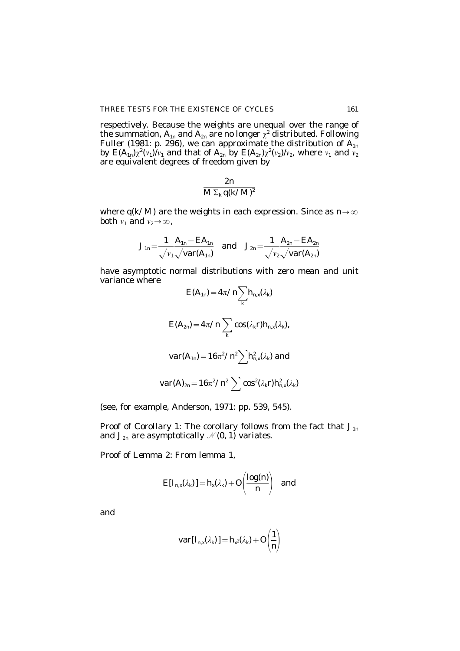respectively. Because the weights are unequal over the range of the summation,  $A_{1n}$  and  $A_{2n}$  are no longer  $\chi^2$  distributed. Following Fuller (1981: p. 296), we can approximate the distribution of  $A_{1n}$ by  $E(A_{1n})\chi^2(v_1)$   $\bar{v}_1$  and that of  $A_{2n}$  by  $E(A_{2n})\chi^2(v_2)/v_2$ , where  $v_1$  and  $v_2$ are equivalent degrees of freedom given by

$$
\frac{2n}{M\Sigma_k q(k/M)^2}
$$

where *q*(*k/M*) are the weights in each expression. Since as *n*→∞ both  $v_1$  and  $v_2 \rightarrow \infty$ ,

$$
J_{1n} = \frac{1}{\sqrt{v_1}} \frac{A_{1n} - EA_{1n}}{\sqrt{\text{var}(A_{1n})}} \text{ and } J_{2n} = \frac{1}{\sqrt{v_2}} \frac{A_{2n} - EA_{2n}}{\sqrt{\text{var}(A_{2n})}}
$$

have asymptotic normal distributions with zero mean and unit variance where

$$
E(A_{1n}) = 4\pi/n \sum_{k} h_{n,x}(\lambda_k)
$$
  
\n
$$
E(A_{2n}) = 4\pi/n \sum_{k} \cos(\lambda_k r) h_{n,x}(\lambda_k),
$$
  
\n
$$
\text{var}(A_{1n}) = 16\pi^2/n^2 \sum_{k} h_{n,x}^2(\lambda_k) \text{ and}
$$
  
\n
$$
\text{var}(A)_{2n} = 16\pi^2/n^2 \sum_{k} \cos^2(\lambda_k r) h_{n,x}^2(\lambda_k)
$$

(see, for example, Anderson, 1971: pp. 539, 545).

*Proof of Corollary 1:* The corollary follows from the fact that  $J_{1n}$ and  $J_{2n}$  are asymptotically  $\mathcal{N}(0, 1)$  variates.

*Proof of Lemma 2:* From lemma 1,

$$
E[I_{n,x}(\lambda_k)] = h_x(\lambda_k) + O\left(\frac{\log(n)}{n}\right) \text{ and}
$$

and

$$
\text{var}[I_{n,x}(\lambda_k)]=h_{x^2}(\lambda_k)+O\bigg(\frac{1}{n}\bigg)
$$